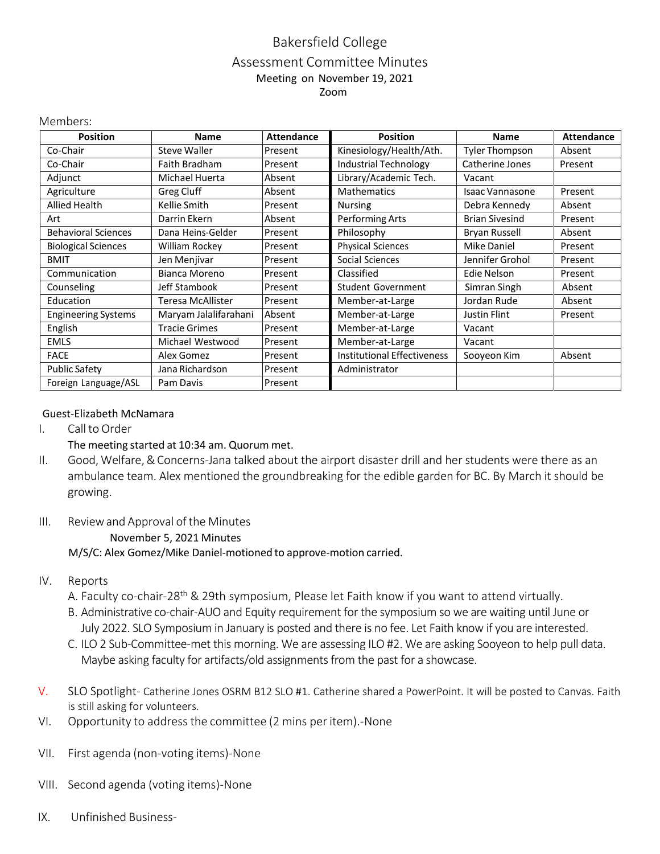## Bakersfield College Assessment Committee Minutes Meeting on November 19, 2021 Zoom

| <b>Position</b>            | <b>Name</b>           | <b>Attendance</b> | <b>Position</b>                    | <b>Name</b>            | <b>Attendance</b> |
|----------------------------|-----------------------|-------------------|------------------------------------|------------------------|-------------------|
| Co-Chair                   | <b>Steve Waller</b>   | Present           | Kinesiology/Health/Ath.            | <b>Tyler Thompson</b>  | Absent            |
| Co-Chair                   | <b>Faith Bradham</b>  | Present           | Industrial Technology              | Catherine Jones        | Present           |
| Adjunct                    | Michael Huerta        | Absent            | Library/Academic Tech.             | Vacant                 |                   |
| Agriculture                | Greg Cluff            | Absent            | <b>Mathematics</b>                 | <b>Isaac Vannasone</b> | Present           |
| Allied Health              | Kellie Smith          | Present           | <b>Nursing</b>                     | Debra Kennedy          | Absent            |
| Art                        | Darrin Ekern          | Absent            | Performing Arts                    | <b>Brian Sivesind</b>  | Present           |
| <b>Behavioral Sciences</b> | Dana Heins-Gelder     | Present           | Philosophy                         | <b>Bryan Russell</b>   | Absent            |
| <b>Biological Sciences</b> | William Rockey        | Present           | <b>Physical Sciences</b>           | <b>Mike Daniel</b>     | Present           |
| <b>BMIT</b>                | Jen Menjivar          | Present           | Social Sciences                    | Jennifer Grohol        | Present           |
| Communication              | Bianca Moreno         | Present           | Classified                         | Edie Nelson            | Present           |
| Counseling                 | Jeff Stambook         | Present           | Student Government                 | Simran Singh           | Absent            |
| Education                  | Teresa McAllister     | Present           | Member-at-Large                    | Jordan Rude            | Absent            |
| <b>Engineering Systems</b> | Maryam Jalalifarahani | Absent            | Member-at-Large                    | <b>Justin Flint</b>    | Present           |
| English                    | <b>Tracie Grimes</b>  | Present           | Member-at-Large                    | Vacant                 |                   |
| <b>EMLS</b>                | Michael Westwood      | Present           | Member-at-Large                    | Vacant                 |                   |
| <b>FACE</b>                | Alex Gomez            | Present           | <b>Institutional Effectiveness</b> | Sooyeon Kim            | Absent            |
| <b>Public Safety</b>       | Jana Richardson       | Present           | Administrator                      |                        |                   |
| Foreign Language/ASL       | Pam Davis             | Present           |                                    |                        |                   |

## Guest-Elizabeth McNamara

I. Callto Order

Members:

The meeting started at 10:34 am. Quorum met.

- II. Good, Welfare,&Concerns-Jana talked about the airport disaster drill and her students were there as an ambulance team. Alex mentioned the groundbreaking for the edible garden for BC. By March it should be growing.
- III. Review and Approval of the Minutes

## November 5, 2021 Minutes

M/S/C: Alex Gomez/Mike Daniel-motioned to approve-motion carried.

- IV. Reports
	- A. Faculty co-chair-28<sup>th</sup> & 29th symposium, Please let Faith know if you want to attend virtually.
	- B. Administrative co-chair-AUO and Equity requirement for the symposium so we are waiting until June or July 2022. SLO Symposium in January is posted and there is no fee. Let Faith know if you are interested.
	- C. ILO 2 Sub-Committee-met this morning. We are assessing ILO #2. We are asking Sooyeon to help pull data. Maybe asking faculty for artifacts/old assignments from the past for a showcase.
- V. SLO Spotlight- Catherine Jones OSRM B12 SLO #1. Catherine shared a PowerPoint. It will be posted to Canvas. Faith is still asking for volunteers.
- VI. Opportunity to address the committee (2 mins per item).-None
- VII. First agenda (non-voting items)-None
- VIII. Second agenda (voting items)-None
- IX. Unfinished Business-